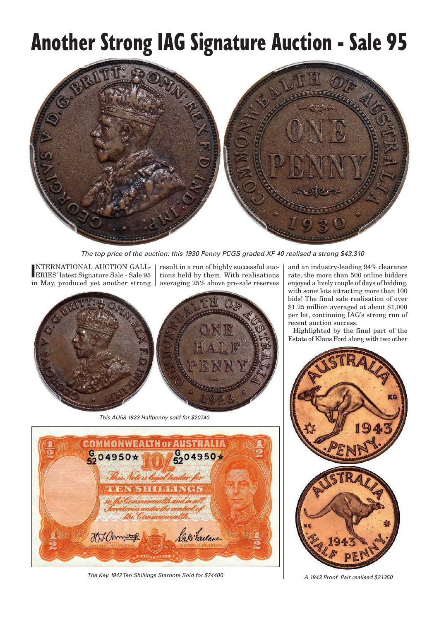## **Another Strong IAG Signature Auction - Sale 95**



*The top price of the auction: this 1930 Penny PCGS graded XF 40 realised a strong \$43,310*

**I** ERIES' latest Signature Sale - Sale 95 NTERNATIONAL AUCTION GALLin May, produced yet another strong

result in a run of highly successful auctions held by them. With realisations averaging 25% above pre-sale reserves



*This AU58 1923 Halfpenny sold for \$20740*



*The Key 1942 Ten Shillings Starnote Sold for \$24400 A 1943 Proof Pair realised \$21350*

and an industry-leading 94% clearance rate, the more than 500 online bidders enjoyed a lively couple of days of bidding, with some lots attracting more than 100 bids! The final sale realisation of over \$1.25 million averaged at about \$1,000 per lot, continuing IAG's strong run of recent auction success.

Highlighted by the final part of the Estate of Klaus Ford along with two other